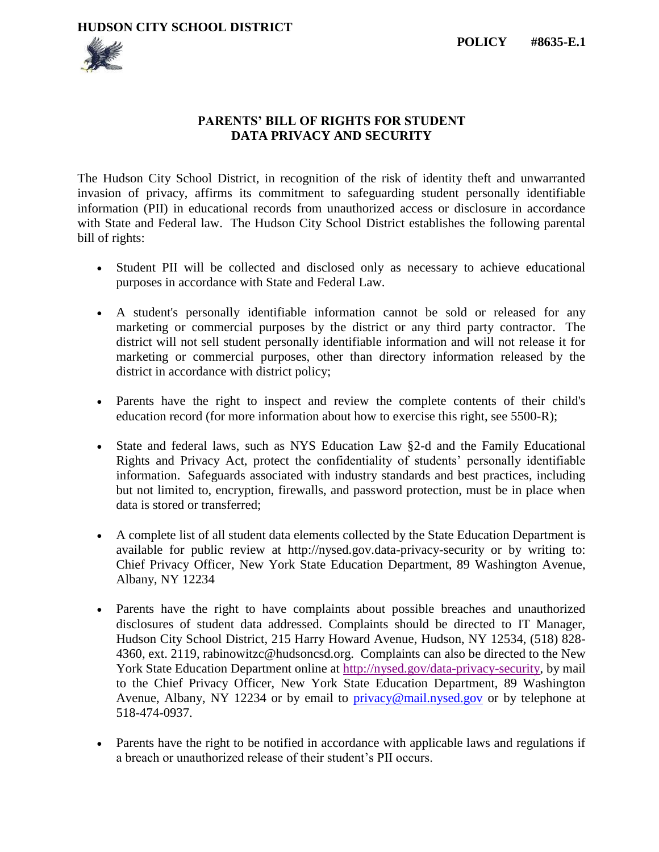**HUDSON CITY SCHOOL DISTRICT**



## **PARENTS' BILL OF RIGHTS FOR STUDENT DATA PRIVACY AND SECURITY**

The Hudson City School District, in recognition of the risk of identity theft and unwarranted invasion of privacy, affirms its commitment to safeguarding student personally identifiable information (PII) in educational records from unauthorized access or disclosure in accordance with State and Federal law. The Hudson City School District establishes the following parental bill of rights:

- Student PII will be collected and disclosed only as necessary to achieve educational purposes in accordance with State and Federal Law.
- A student's personally identifiable information cannot be sold or released for any marketing or commercial purposes by the district or any third party contractor. The district will not sell student personally identifiable information and will not release it for marketing or commercial purposes, other than directory information released by the district in accordance with district policy;
- Parents have the right to inspect and review the complete contents of their child's education record (for more information about how to exercise this right, see 5500-R);
- State and federal laws, such as NYS Education Law §2-d and the Family Educational Rights and Privacy Act, protect the confidentiality of students' personally identifiable information. Safeguards associated with industry standards and best practices, including but not limited to, encryption, firewalls, and password protection, must be in place when data is stored or transferred;
- A complete list of all student data elements collected by the State Education Department is available for public review at http://nysed.gov.data-privacy-security or by writing to: Chief Privacy Officer, New York State Education Department, 89 Washington Avenue, Albany, NY 12234
- Parents have the right to have complaints about possible breaches and unauthorized disclosures of student data addressed. Complaints should be directed to IT Manager, Hudson City School District, 215 Harry Howard Avenue, Hudson, NY 12534, (518) 828- 4360, ext. 2119, rabinowitzc@hudsoncsd.org. Complaints can also be directed to the New York State Education Department online at [http://nysed.gov/data-privacy-security,](http://nysed.gov/data-privacy-security) by mail to the Chief Privacy Officer, New York State Education Department, 89 Washington Avenue, Albany, NY 12234 or by email to [privacy@mail.nysed.gov](mailto:privacy@mail.nysed.gov) or by telephone at 518-474-0937.
- Parents have the right to be notified in accordance with applicable laws and regulations if a breach or unauthorized release of their student's PII occurs.